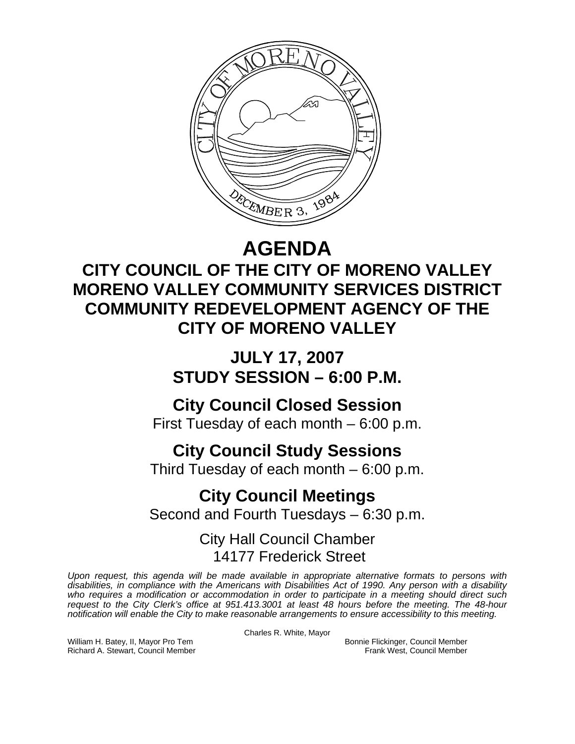

## **AGENDA**

## **CITY COUNCIL OF THE CITY OF MORENO VALLEY MORENO VALLEY COMMUNITY SERVICES DISTRICT COMMUNITY REDEVELOPMENT AGENCY OF THE CITY OF MORENO VALLEY**

**JULY 17, 2007 STUDY SESSION – 6:00 P.M.** 

## **City Council Closed Session**

First Tuesday of each month – 6:00 p.m.

## **City Council Study Sessions**

Third Tuesday of each month – 6:00 p.m.

# **City Council Meetings**

Second and Fourth Tuesdays – 6:30 p.m.

### City Hall Council Chamber 14177 Frederick Street

*Upon request, this agenda will be made available in appropriate alternative formats to persons with disabilities, in compliance with the Americans with Disabilities Act of 1990. Any person with a disability*  who requires a modification or accommodation in order to participate in a meeting should direct such *request to the City Clerk's office at 951.413.3001 at least 48 hours before the meeting. The 48-hour notification will enable the City to make reasonable arrangements to ensure accessibility to this meeting.* 

Charles R. White, Mayor

William H. Batey, II, Mayor Pro Tem **Bonnie Flickinger, Council Member** Bonnie Flickinger, Council Member Richard A. Stewart, Council Member **Richard A. Stewart, Council Member** Richard A. Stewart, Council Member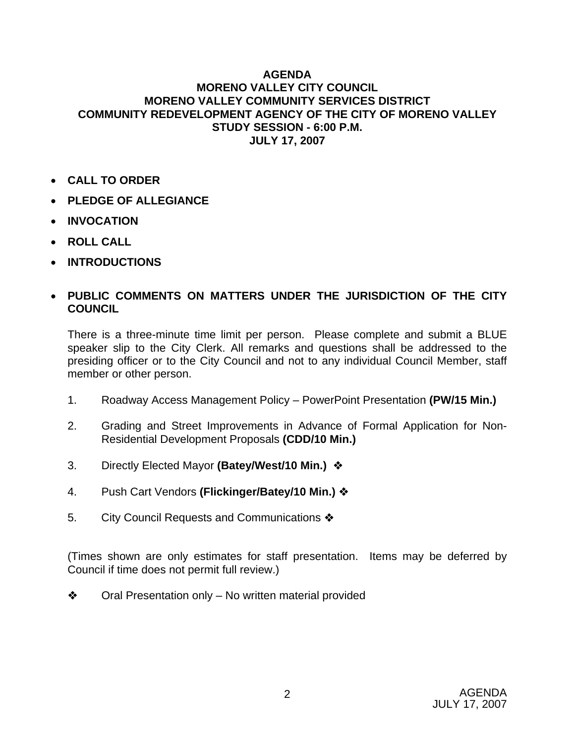#### **AGENDA MORENO VALLEY CITY COUNCIL MORENO VALLEY COMMUNITY SERVICES DISTRICT COMMUNITY REDEVELOPMENT AGENCY OF THE CITY OF MORENO VALLEY STUDY SESSION - 6:00 P.M. JULY 17, 2007**

- **CALL TO ORDER**
- **PLEDGE OF ALLEGIANCE**
- **INVOCATION**
- **ROLL CALL**
- **INTRODUCTIONS**

### • **PUBLIC COMMENTS ON MATTERS UNDER THE JURISDICTION OF THE CITY COUNCIL**

There is a three-minute time limit per person. Please complete and submit a BLUE speaker slip to the City Clerk. All remarks and questions shall be addressed to the presiding officer or to the City Council and not to any individual Council Member, staff member or other person.

- 1. Roadway Access Management Policy PowerPoint Presentation **(PW/15 Min.)**
- 2. Grading and Street Improvements in Advance of Formal Application for Non-Residential Development Proposals **(CDD/10 Min.)**
- 3. Directly Elected Mayor **(Batey/West/10 Min.)**
- 4. Push Cart Vendors **(Flickinger/Batey/10 Min.)**
- 5. City Council Requests and Communications  $\clubsuit$

(Times shown are only estimates for staff presentation. Items may be deferred by Council if time does not permit full review.)

 $\triangle$  Oral Presentation only – No written material provided